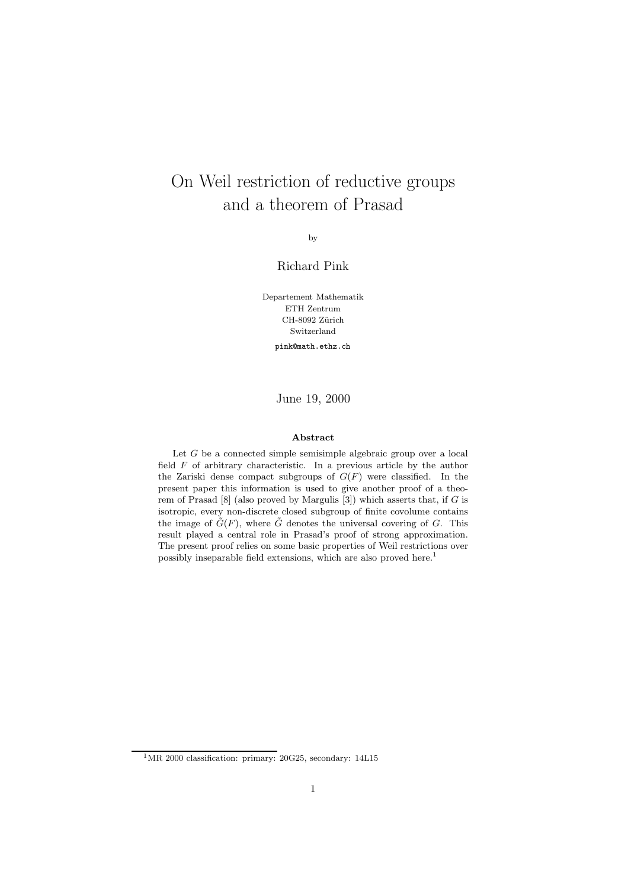# On Weil restriction of reductive groups and a theorem of Prasad

by

### Richard Pink

Departement Mathematik ETH Zentrum CH-8092 Zürich Switzerland pink@math.ethz.ch

June 19, 2000

#### Abstract

Let  $G$  be a connected simple semisimple algebraic group over a local field  $F$  of arbitrary characteristic. In a previous article by the author the Zariski dense compact subgroups of  $G(F)$  were classified. In the present paper this information is used to give another proof of a theorem of Prasad  $[8]$  (also proved by Margulis  $[3]$ ) which asserts that, if G is isotropic, every non-discrete closed subgroup of finite covolume contains the image of  $\tilde{G}(F)$ , where  $\tilde{G}$  denotes the universal covering of G. This result played a central role in Prasad's proof of strong approximation. The present proof relies on some basic properties of Weil restrictions over possibly inseparable field extensions, which are also proved here.<sup>1</sup>

<sup>&</sup>lt;sup>1</sup>MR 2000 classification: primary: 20G25, secondary: 14L15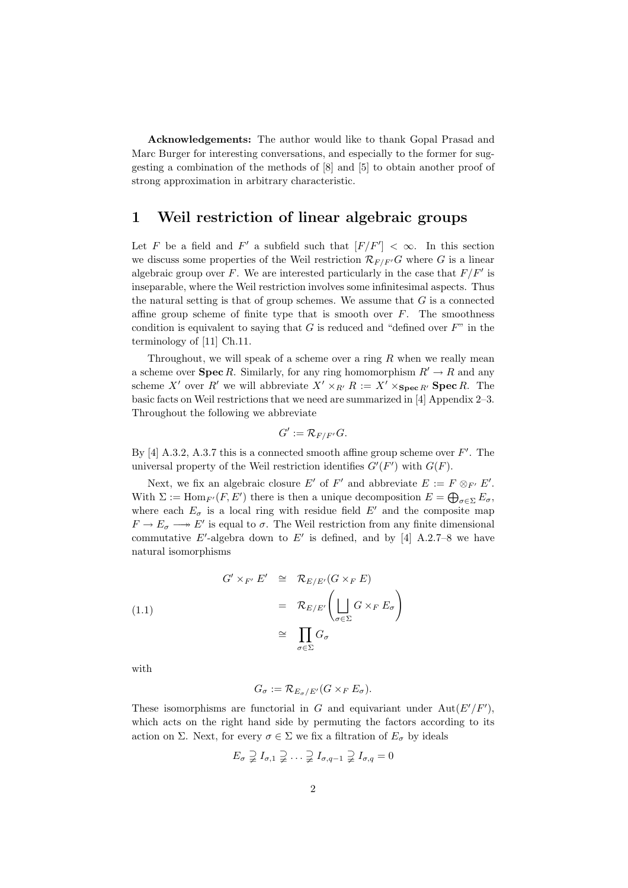Acknowledgements: The author would like to thank Gopal Prasad and Marc Burger for interesting conversations, and especially to the former for suggesting a combination of the methods of [8] and [5] to obtain another proof of strong approximation in arbitrary characteristic.

## 1 Weil restriction of linear algebraic groups

Let F be a field and F' a subfield such that  $[F/F'] < \infty$ . In this section we discuss some properties of the Weil restriction  $\mathcal{R}_{F/F'}G$  where G is a linear algebraic group over F. We are interested particularly in the case that  $F/F'$  is inseparable, where the Weil restriction involves some infinitesimal aspects. Thus the natural setting is that of group schemes. We assume that  $G$  is a connected affine group scheme of finite type that is smooth over  $F$ . The smoothness condition is equivalent to saying that  $G$  is reduced and "defined over  $F$ " in the terminology of [11] Ch.11.

Throughout, we will speak of a scheme over a ring  $R$  when we really mean a scheme over **Spec** R. Similarly, for any ring homomorphism  $R' \rightarrow R$  and any scheme X' over R' we will abbreviate  $X' \times_{R'} R := X' \times_{\mathbf{Spec } R'} \mathbf{Spec } R$ . The basic facts on Weil restrictions that we need are summarized in [4] Appendix 2–3. Throughout the following we abbreviate

$$
G':=\mathcal{R}_{F/F'}G.
$$

By  $[4]$  A.3.2, A.3.7 this is a connected smooth affine group scheme over  $F'$ . The universal property of the Weil restriction identifies  $G'(F')$  with  $G(F)$ .

Next, we fix an algebraic closure E' of F' and abbreviate  $E := F \otimes_{F'} E'$ . With  $\Sigma := \text{Hom}_{F'}(F, E')$  there is then a unique decomposition  $E = \bigoplus_{\sigma \in \Sigma} E_{\sigma}$ , where each  $E_{\sigma}$  is a local ring with residue field E' and the composite map  $F \to E_{\sigma} \longrightarrow E'$  is equal to  $\sigma$ . The Weil restriction from any finite dimensional commutative E'-algebra down to E' is defined, and by [4] A.2.7–8 we have natural isomorphisms

(1.1)  
\n
$$
G' \times_{F'} E' \cong \mathcal{R}_{E/E'}(G \times_F E)
$$
\n
$$
= \mathcal{R}_{E/E'} \left( \bigsqcup_{\sigma \in \Sigma} G \times_F E_{\sigma} \right)
$$
\n
$$
\cong \prod_{\sigma \in \Sigma} G_{\sigma}
$$

with

$$
G_{\sigma} := \mathcal{R}_{E_{\sigma}/E'}(G \times_F E_{\sigma}).
$$

These isomorphisms are functorial in G and equivariant under  $Aut(E'/F')$ , which acts on the right hand side by permuting the factors according to its action on Σ. Next, for every  $\sigma \in \Sigma$  we fix a filtration of  $E_{\sigma}$  by ideals

$$
E_{\sigma} \supsetneq I_{\sigma,1} \supsetneq \ldots \supsetneq I_{\sigma,q-1} \supsetneq I_{\sigma,q} = 0
$$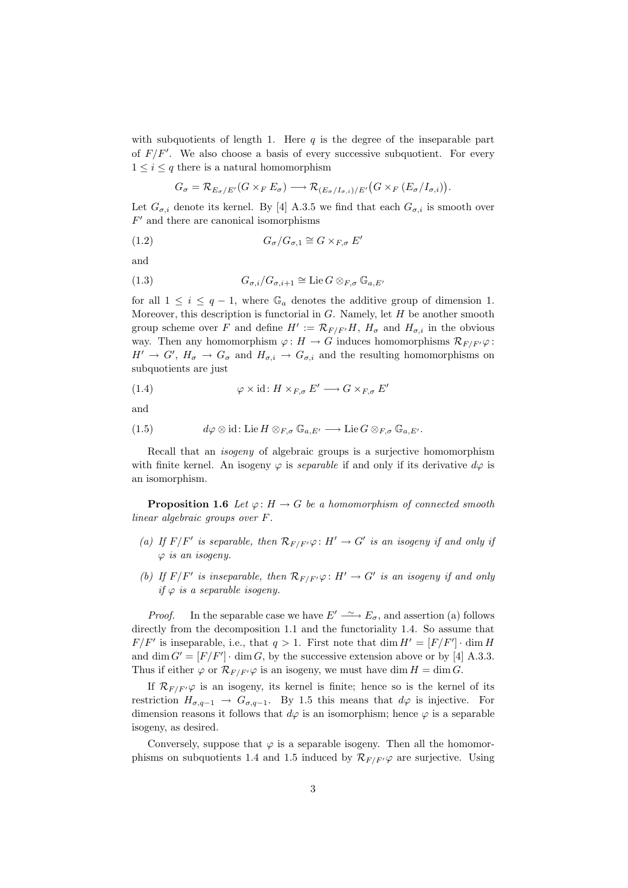with subquotients of length 1. Here  $q$  is the degree of the inseparable part of  $F/F'$ . We also choose a basis of every successive subquotient. For every  $1 \leq i \leq q$  there is a natural homomorphism

$$
G_{\sigma} = \mathcal{R}_{E_{\sigma}/E'}(G \times_{F} E_{\sigma}) \longrightarrow \mathcal{R}_{(E_{\sigma}/I_{\sigma,i})/E'}(G \times_{F} (E_{\sigma}/I_{\sigma,i})).
$$

Let  $G_{\sigma,i}$  denote its kernel. By [4] A.3.5 we find that each  $G_{\sigma,i}$  is smooth over  $F'$  and there are canonical isomorphisms

$$
(1.2) \tG_{\sigma}/G_{\sigma,1} \cong G \times_{F,\sigma} E'
$$

and

(1.3) 
$$
G_{\sigma,i}/G_{\sigma,i+1} \cong \text{Lie } G \otimes_{F,\sigma} \mathbb{G}_{a,E'}
$$

for all  $1 \leq i \leq q-1$ , where  $\mathbb{G}_a$  denotes the additive group of dimension 1. Moreover, this description is functorial in  $G$ . Namely, let  $H$  be another smooth group scheme over F and define  $H' := \mathcal{R}_{F/F'}H$ ,  $H_{\sigma}$  and  $H_{\sigma,i}$  in the obvious way. Then any homomorphism  $\varphi: H \to G$  induces homomorphisms  $\mathcal{R}_{F/F'}\varphi$ :  $H' \to G', H_{\sigma} \to G_{\sigma}$  and  $H_{\sigma,i} \to G_{\sigma,i}$  and the resulting homomorphisms on subquotients are just

(1.4) 
$$
\varphi \times id \colon H \times_{F, \sigma} E' \longrightarrow G \times_{F, \sigma} E'
$$

and

(1.5) 
$$
d\varphi \otimes id : \text{Lie } H \otimes_{F,\sigma} \mathbb{G}_{a,E'} \longrightarrow \text{Lie } G \otimes_{F,\sigma} \mathbb{G}_{a,E'}.
$$

Recall that an isogeny of algebraic groups is a surjective homomorphism with finite kernel. An isogeny  $\varphi$  is *separable* if and only if its derivative  $d\varphi$  is an isomorphism.

**Proposition 1.6** Let  $\varphi: H \to G$  be a homomorphism of connected smooth linear algebraic groups over F.

- (a) If  $F/F'$  is separable, then  $\mathcal{R}_{F/F'}\varphi: H' \to G'$  is an isogeny if and only if  $\varphi$  is an isogeny.
- (b) If  $F/F'$  is inseparable, then  $\mathcal{R}_{F/F'}\varphi : H' \to G'$  is an isogeny if and only if  $\varphi$  is a separable isogeny.

*Proof.* In the separable case we have  $E' \longrightarrow E_{\sigma}$ , and assertion (a) follows directly from the decomposition 1.1 and the functoriality 1.4. So assume that  $F/F'$  is inseparable, i.e., that  $q > 1$ . First note that  $\dim H' = [F/F'] \cdot \dim H$ and dim  $G' = [F/F'] \cdot \dim G$ , by the successive extension above or by [4] A.3.3. Thus if either  $\varphi$  or  $\mathcal{R}_{F/F'}\varphi$  is an isogeny, we must have dim  $H = \dim G$ .

If  $\mathcal{R}_{F/F'}\varphi$  is an isogeny, its kernel is finite; hence so is the kernel of its restriction  $H_{\sigma,q-1} \to G_{\sigma,q-1}$ . By 1.5 this means that  $d\varphi$  is injective. For dimension reasons it follows that  $d\varphi$  is an isomorphism; hence  $\varphi$  is a separable isogeny, as desired.

Conversely, suppose that  $\varphi$  is a separable isogeny. Then all the homomorphisms on subquotients 1.4 and 1.5 induced by  $\mathcal{R}_{F/F'}\varphi$  are surjective. Using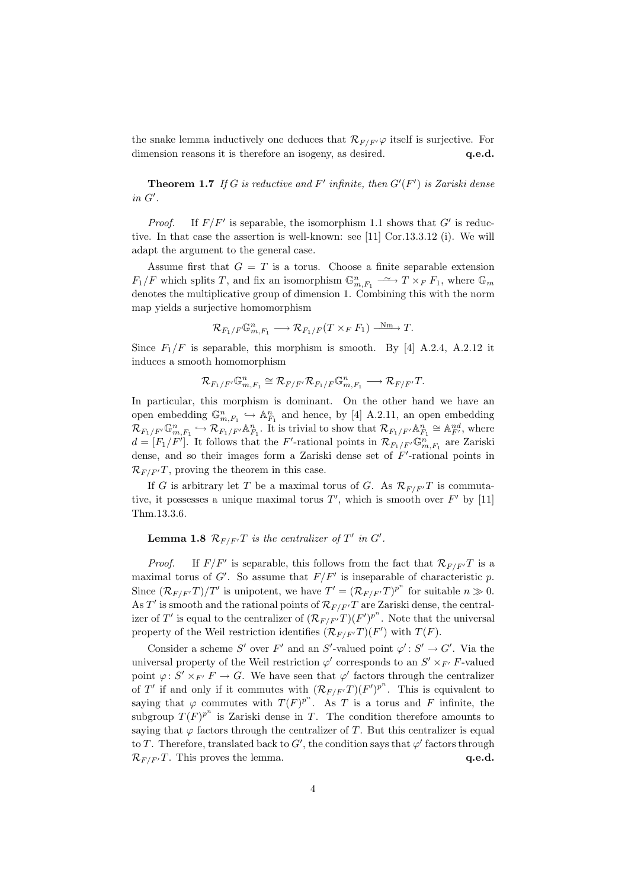the snake lemma inductively one deduces that  $\mathcal{R}_{F/F'}\varphi$  itself is surjective. For dimension reasons it is therefore an isogeny, as desired.  $q.e.d.$ 

**Theorem 1.7** If G is reductive and F' infinite, then  $G'(F')$  is Zariski dense  $in$   $G^{\prime}.$ 

*Proof.* If  $F/F'$  is separable, the isomorphism 1.1 shows that  $G'$  is reductive. In that case the assertion is well-known: see [11] Cor.13.3.12 (i). We will adapt the argument to the general case.

Assume first that  $G = T$  is a torus. Choose a finite separable extension  $F_1/F$  which splits T, and fix an isomorphism  $\mathbb{G}_{m,F_1}^n \longrightarrow T \times_F F_1$ , where  $\mathbb{G}_m$ denotes the multiplicative group of dimension 1. Combining this with the norm map yields a surjective homomorphism

$$
{\mathcal{R}}_{F_1/F} \mathbb{G}_{m,F_1}^n \longrightarrow {\mathcal{R}}_{F_1/F}(T \times_F F_1) \xrightarrow{\text{Nm}} T.
$$

Since  $F_1/F$  is separable, this morphism is smooth. By [4] A.2.4, A.2.12 it induces a smooth homomorphism

$$
\mathcal{R}_{F_1/F'}\mathbb{G}_{m,F_1}^n\cong \mathcal{R}_{F/F'}\mathcal{R}_{F_1/F}\mathbb{G}_{m,F_1}^n\longrightarrow \mathcal{R}_{F/F'}T.
$$

In particular, this morphism is dominant. On the other hand we have an open embedding  $\mathbb{G}_{m,F_1}^n \hookrightarrow \mathbb{A}_{F_1}^n$  and hence, by [4] A.2.11, an open embedding  $\mathcal{R}_{F_1/F'}\mathbb{G}_{m,F_1}^n \hookrightarrow \mathcal{R}_{F_1/F'}\mathbb{A}_{F_1}^n$ . It is trivial to show that  $\mathcal{R}_{F_1/F'}\mathbb{A}_{F_1}^n \cong \mathbb{A}_{F'}^{nd}$ , where  $d = [F_1/F']$ . It follows that the F'-rational points in  $\mathcal{R}_{F_1/F'}\mathbb{G}_{m,F_1}^n$  are Zariski dense, and so their images form a Zariski dense set of  $F'$ -rational points in  $\mathcal{R}_{F/F'}T$ , proving the theorem in this case.

If G is arbitrary let T be a maximal torus of G. As  $\mathcal{R}_{F/F'}T$  is commutative, it possesses a unique maximal torus  $T'$ , which is smooth over  $F'$  by [11] Thm.13.3.6.

#### **Lemma 1.8**  $\mathcal{R}_{F/F'}T$  is the centralizer of  $T'$  in  $G'$ .

*Proof.* If  $F/F'$  is separable, this follows from the fact that  $\mathcal{R}_{F/F'}T$  is a maximal torus of G'. So assume that  $F/F'$  is inseparable of characteristic p. Since  $(\mathcal{R}_{F/F'}T)/T'$  is unipotent, we have  $T' = (\mathcal{R}_{F/F'}T)^{p^n}$  for suitable  $n \gg 0$ . As T' is smooth and the rational points of  $\mathcal{R}_{F/F'}T$  are Zariski dense, the centralizer of T' is equal to the centralizer of  $(\mathcal{R}_{F/F'}T)(F')^{p^n}$ . Note that the universal property of the Weil restriction identifies  $(\mathcal{R}_{F/F'}T)(F')$  with  $T(F)$ .

Consider a scheme S' over F' and an S'-valued point  $\varphi' : S' \to G'$ . Via the universal property of the Weil restriction  $\varphi'$  corresponds to an  $S' \times_{F'} F$ -valued point  $\varphi: S' \times_{F'} F \to G$ . We have seen that  $\varphi'$  factors through the centralizer of T' if and only if it commutes with  $(\mathcal{R}_{F/F'}T)(F')^{p^n}$ . This is equivalent to saying that  $\varphi$  commutes with  $T(F)^{p^n}$ . As T is a torus and F infinite, the subgroup  $T(F)^{p^n}$  is Zariski dense in T. The condition therefore amounts to saying that  $\varphi$  factors through the centralizer of T. But this centralizer is equal to T. Therefore, translated back to  $G'$ , the condition says that  $\varphi'$  factors through  $\mathcal{R}_{F/F'}T$ . This proves the lemma. q.e.d.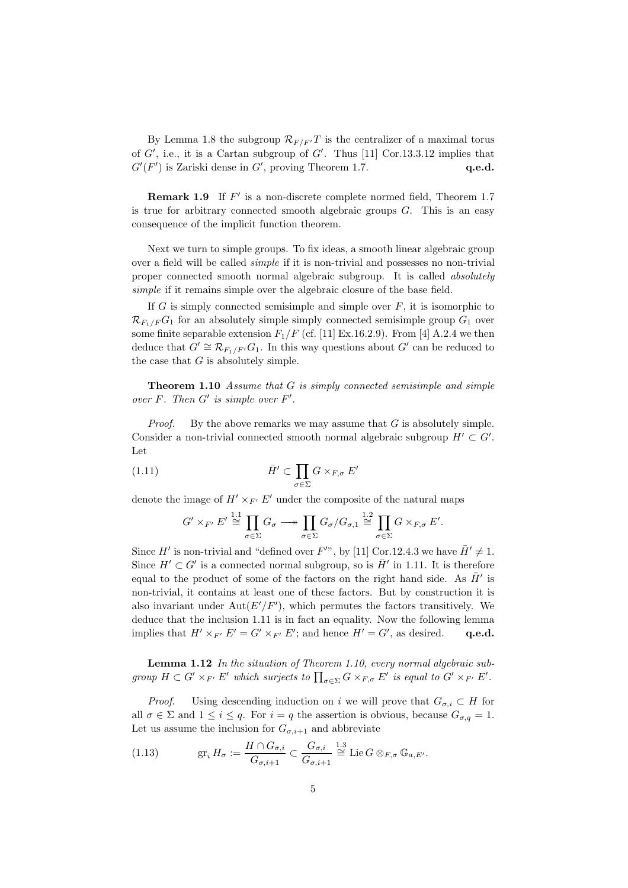By Lemma 1.8 the subgroup  $\mathcal{R}_{F/F'}T$  is the centralizer of a maximal torus of  $G'$ , i.e., it is a Cartan subgroup of  $G'$ . Thus [11] Cor.13.3.12 implies that  $G'(F')$  is Zariski dense in  $G'$ , proving Theorem 1.7.  $q.e.d.$ 

**Remark 1.9** If  $F'$  is a non-discrete complete normed field, Theorem 1.7 is true for arbitrary connected smooth algebraic groups  $G$ . This is an easy consequence of the implicit function theorem.

Next we turn to simple groups. To fix ideas, a smooth linear algebraic group over a field will be called simple if it is non-trivial and possesses no non-trivial proper connected smooth normal algebraic subgroup. It is called absolutely simple if it remains simple over the algebraic closure of the base field.

If  $G$  is simply connected semisimple and simple over  $F$ , it is isomorphic to  $\mathcal{R}_{F_1/F}G_1$  for an absolutely simple simply connected semisimple group  $G_1$  over some finite separable extension  $F_1/F$  (cf. [11] Ex.16.2.9). From [4] A.2.4 we then deduce that  $G' \cong \mathcal{R}_{F_1/F'} G_1$ . In this way questions about  $G'$  can be reduced to the case that  $G$  is absolutely simple.

Theorem 1.10 Assume that G is simply connected semisimple and simple over  $F$ . Then  $G'$  is simple over  $F'$ .

*Proof.* By the above remarks we may assume that  $G$  is absolutely simple. Consider a non-trivial connected smooth normal algebraic subgroup  $H' \subset G'$ . Let

(1.11) 
$$
\bar{H}' \subset \prod_{\sigma \in \Sigma} G \times_{F, \sigma} E'
$$

denote the image of  $H' \times_{F'} E'$  under the composite of the natural maps

$$
G' \times_{F'} E' \stackrel{1.1}{\cong} \prod_{\sigma \in \Sigma} G_{\sigma} \longrightarrow \prod_{\sigma \in \Sigma} G_{\sigma} / G_{\sigma,1} \stackrel{1.2}{\cong} \prod_{\sigma \in \Sigma} G \times_{F,\sigma} E'.
$$

Since H' is non-trivial and "defined over F'", by [11] Cor.12.4.3 we have  $\bar{H}' \neq 1$ . Since  $H' \subset G'$  is a connected normal subgroup, so is  $\overline{H}'$  in 1.11. It is therefore equal to the product of some of the factors on the right hand side. As  $\bar{H}'$  is non-trivial, it contains at least one of these factors. But by construction it is also invariant under  $Aut(E'/F')$ , which permutes the factors transitively. We deduce that the inclusion 1.11 is in fact an equality. Now the following lemma implies that  $H' \times_{F'} E' = G' \times_{F'} E'$ ; and hence  $H' = G'$ , as desired. q.e.d.

Lemma 1.12 In the situation of Theorem 1.10, every normal algebraic subgroup  $H \subset G' \times_{F'} E'$  which surjects to  $\prod_{\sigma \in \Sigma} G \times_{F,\sigma} E'$  is equal to  $G' \times_{F'} E'$ .

*Proof.* Using descending induction on i we will prove that  $G_{\sigma i} \subset H$  for all  $\sigma \in \Sigma$  and  $1 \leq i \leq q$ . For  $i = q$  the assertion is obvious, because  $G_{\sigma,q} = 1$ . Let us assume the inclusion for  $G_{\sigma,i+1}$  and abbreviate

(1.13) 
$$
\operatorname{gr}_i H_{\sigma} := \frac{H \cap G_{\sigma,i}}{G_{\sigma,i+1}} \subset \frac{G_{\sigma,i}}{G_{\sigma,i+1}} \stackrel{1.3}{\cong} \operatorname{Lie} G \otimes_{F,\sigma} \mathbb{G}_{a,E'}.
$$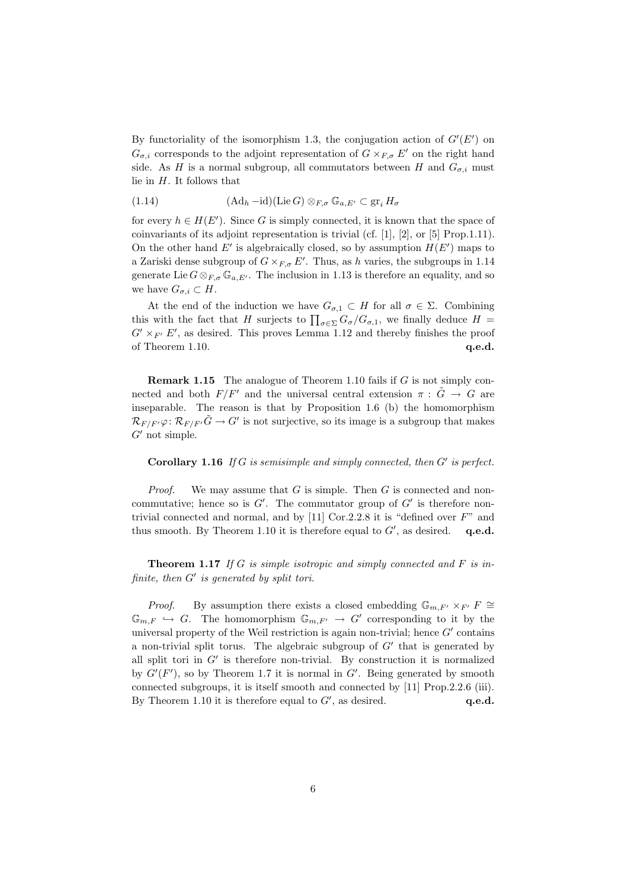By functoriality of the isomorphism 1.3, the conjugation action of  $G'(E')$  on  $G_{\sigma,i}$  corresponds to the adjoint representation of  $G \times_{F,\sigma} E'$  on the right hand side. As H is a normal subgroup, all commutators between H and  $G_{\sigma,i}$  must lie in  $H$ . It follows that

(1.14) 
$$
(\mathrm{Ad}_h - \mathrm{id})(\mathrm{Lie } G) \otimes_{F,\sigma} \mathbb{G}_{a,E'} \subset \mathrm{gr}_i H_{\sigma}
$$

for every  $h \in H(E')$ . Since G is simply connected, it is known that the space of coinvariants of its adjoint representation is trivial (cf. [1], [2], or [5] Prop.1.11). On the other hand  $E'$  is algebraically closed, so by assumption  $H(E')$  maps to a Zariski dense subgroup of  $G \times_{F,\sigma} E'$ . Thus, as h varies, the subgroups in 1.14 generate Lie  $G \otimes_{F,\sigma} \mathbb{G}_{a,E'}$ . The inclusion in 1.13 is therefore an equality, and so we have  $G_{\sigma,i} \subset H$ .

At the end of the induction we have  $G_{\sigma,1} \subset H$  for all  $\sigma \in \Sigma$ . Combining this with the fact that H surjects to  $\prod_{\sigma \in \Sigma} G_{\sigma}/G_{\sigma,1}$ , we finally deduce  $H =$  $G' \times_{F'} E'$ , as desired. This proves Lemma 1.12 and thereby finishes the proof of Theorem 1.10. **q.e.d.** q.e.d.

Remark 1.15 The analogue of Theorem 1.10 fails if G is not simply connected and both  $F/F'$  and the universal central extension  $\pi : \tilde{G} \to G$  are inseparable. The reason is that by Proposition 1.6 (b) the homomorphism  $\mathcal{R}_{F/F'}\varphi \colon \mathcal{R}_{F/F'}\tilde{G} \to G'$  is not surjective, so its image is a subgroup that makes  $G'$  not simple.

#### Corollary 1.16 If  $G$  is semisimple and simply connected, then  $G'$  is perfect.

*Proof.* We may assume that  $G$  is simple. Then  $G$  is connected and noncommutative; hence so is  $G'$ . The commutator group of  $G'$  is therefore nontrivial connected and normal, and by  $[11]$  Cor.2.2.8 it is "defined over  $F$ " and thus smooth. By Theorem 1.10 it is therefore equal to  $G'$ , as desired.  $q.e.d.$ 

**Theorem 1.17** If G is simple isotropic and simply connected and F is infinite, then  $G'$  is generated by split tori.

*Proof.* By assumption there exists a closed embedding  $\mathbb{G}_{m,F'} \times_{F'} F \cong$  $\mathbb{G}_{m,F} \hookrightarrow G$ . The homomorphism  $\mathbb{G}_{m,F'} \to G'$  corresponding to it by the universal property of the Weil restriction is again non-trivial; hence  $G'$  contains a non-trivial split torus. The algebraic subgroup of  $G'$  that is generated by all split tori in  $G'$  is therefore non-trivial. By construction it is normalized by  $G'(F')$ , so by Theorem 1.7 it is normal in  $G'$ . Being generated by smooth connected subgroups, it is itself smooth and connected by [11] Prop.2.2.6 (iii). By Theorem 1.10 it is therefore equal to  $G'$ , as desired.  $q.e.d.$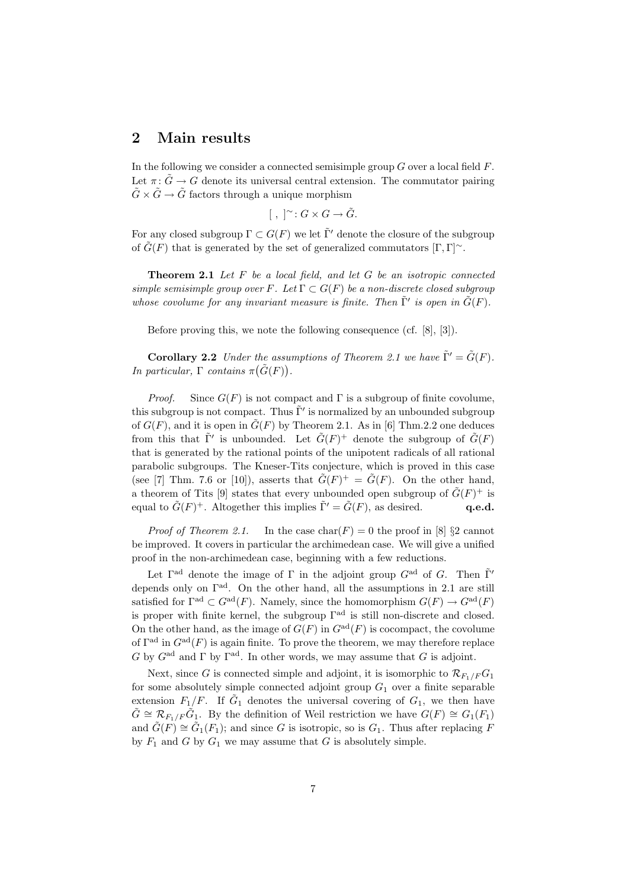## 2 Main results

In the following we consider a connected semisimple group  $G$  over a local field  $F$ . Let  $\pi: \tilde{G} \to G$  denote its universal central extension. The commutator pairing  $\tilde{G} \times \tilde{G} \to \tilde{G}$  factors through a unique morphism

$$
[ , ]^{\sim}: G \times G \to \tilde{G}.
$$

For any closed subgroup  $\Gamma \subset G(F)$  we let  $\tilde{\Gamma}'$  denote the closure of the subgroup of  $\tilde{G}(F)$  that is generated by the set of generalized commutators  $[\Gamma, \Gamma]$ <sup>∼</sup>.

Theorem 2.1 Let F be a local field, and let G be an isotropic connected simple semisimple group over F. Let  $\Gamma \subset G(F)$  be a non-discrete closed subgroup whose covolume for any invariant measure is finite. Then  $\tilde{\Gamma}'$  is open in  $\tilde{G}(F)$ .

Before proving this, we note the following consequence (cf. [8], [3]).

**Corollary 2.2** Under the assumptions of Theorem 2.1 we have  $\tilde{\Gamma}' = \tilde{G}(F)$ . In particular,  $\Gamma$  contains  $\pi(\tilde{G}(F)).$ 

*Proof.* Since  $G(F)$  is not compact and  $\Gamma$  is a subgroup of finite covolume, this subgroup is not compact. Thus  $\tilde{\Gamma}'$  is normalized by an unbounded subgroup of  $G(F)$ , and it is open in  $\tilde{G}(F)$  by Theorem 2.1. As in [6] Thm.2.2 one deduces from this that  $\tilde{\Gamma}'$  is unbounded. Let  $\tilde{G}(F)^+$  denote the subgroup of  $\tilde{G}(F)$ that is generated by the rational points of the unipotent radicals of all rational parabolic subgroups. The Kneser-Tits conjecture, which is proved in this case (see [7] Thm. 7.6 or [10]), asserts that  $\tilde{G}(F)^{+} = \tilde{G}(F)$ . On the other hand, a theorem of Tits [9] states that every unbounded open subgroup of  $\tilde{G}(F)^+$  is equal to  $\tilde{G}(F)^+$ . Altogether this implies  $\tilde{\Gamma}' = \tilde{G}(F)$ , as desired. **q.e.d.** 

*Proof of Theorem 2.1.* In the case  $char(F) = 0$  the proof in [8] §2 cannot be improved. It covers in particular the archimedean case. We will give a unified proof in the non-archimedean case, beginning with a few reductions.

Let  $\Gamma^{\text{ad}}$  denote the image of  $\Gamma$  in the adjoint group  $G^{\text{ad}}$  of G. Then  $\tilde{\Gamma}'$ depends only on  $\Gamma^{ad}$ . On the other hand, all the assumptions in 2.1 are still satisfied for  $\Gamma^{\rm ad} \subset G^{\rm ad}(F)$ . Namely, since the homomorphism  $G(F) \to G^{\rm ad}(F)$ is proper with finite kernel, the subgroup  $\Gamma^{ad}$  is still non-discrete and closed. On the other hand, as the image of  $G(F)$  in  $G^{ad}(F)$  is cocompact, the covolume of  $\Gamma^{\rm ad}$  in  $G^{\rm ad}(F)$  is again finite. To prove the theorem, we may therefore replace G by  $G<sup>ad</sup>$  and  $\Gamma$  by  $\Gamma<sup>ad</sup>$ . In other words, we may assume that G is adjoint.

Next, since G is connected simple and adjoint, it is isomorphic to  $\mathcal{R}_{F_1/F}G_1$ for some absolutely simple connected adjoint group  $G_1$  over a finite separable extension  $F_1/F$ . If  $\tilde{G}_1$  denotes the universal covering of  $G_1$ , we then have  $\tilde{G} \cong \mathcal{R}_{F_1/F} \tilde{G}_1$ . By the definition of Weil restriction we have  $G(F) \cong G_1(F_1)$ and  $\tilde{G}(F) \cong \tilde{G}_1(F_1)$ ; and since G is isotropic, so is  $G_1$ . Thus after replacing F by  $F_1$  and G by  $G_1$  we may assume that G is absolutely simple.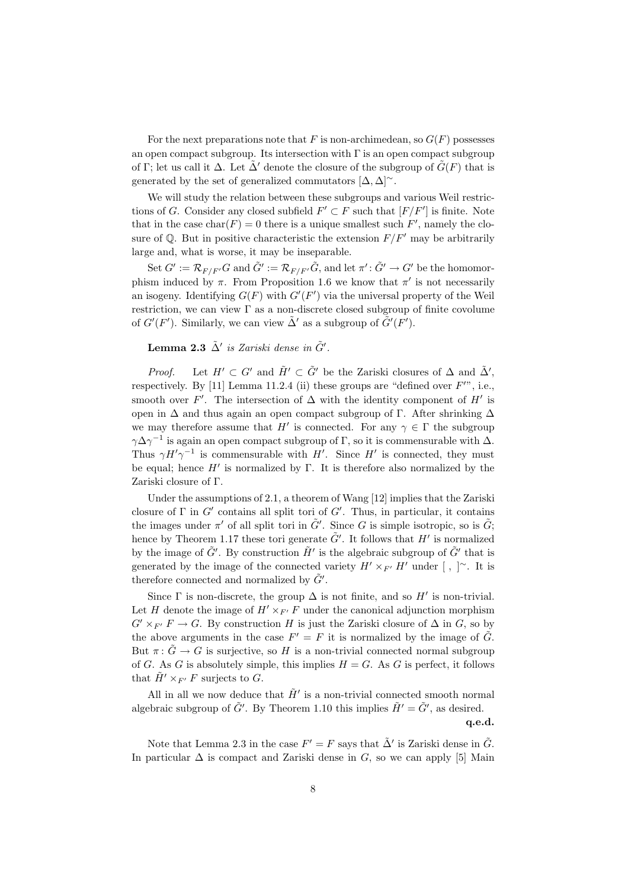For the next preparations note that F is non-archimedean, so  $G(F)$  possesses an open compact subgroup. Its intersection with  $\Gamma$  is an open compact subgroup of Γ; let us call it  $\Delta$ . Let  $\tilde{\Delta}'$  denote the closure of the subgroup of  $\tilde{G}(F)$  that is generated by the set of generalized commutators  $[\Delta, \Delta]$ <sup>∼</sup>.

We will study the relation between these subgroups and various Weil restrictions of G. Consider any closed subfield  $F' \subset F$  such that  $[F/F']$  is finite. Note that in the case  $char(F) = 0$  there is a unique smallest such F', namely the closure of  $\mathbb{Q}$ . But in positive characteristic the extension  $F/F'$  may be arbitrarily large and, what is worse, it may be inseparable.

Set  $G' := \mathcal{R}_{F/F'}G$  and  $\tilde{G}':=\mathcal{R}_{F/F'}\tilde{G}$ , and let  $\pi':\tilde{G}'\to G'$  be the homomorphism induced by  $\pi$ . From Proposition 1.6 we know that  $\pi'$  is not necessarily an isogeny. Identifying  $G(F)$  with  $G'(F')$  via the universal property of the Weil restriction, we can view  $\Gamma$  as a non-discrete closed subgroup of finite covolume of  $G'(F')$ . Similarly, we can view  $\tilde{\Delta}'$  as a subgroup of  $\tilde{G}'(F')$ .

### **Lemma 2.3**  $\tilde{\Delta}'$  is Zariski dense in  $\tilde{G}'$ .

*Proof.* Let  $H' \subset G'$  and  $\tilde{H}' \subset \tilde{G}'$  be the Zariski closures of  $\Delta$  and  $\tilde{\Delta}'$ , respectively. By [11] Lemma 11.2.4 (ii) these groups are "defined over  $F''$ ", i.e., smooth over F'. The intersection of  $\Delta$  with the identity component of H' is open in  $\Delta$  and thus again an open compact subgroup of Γ. After shrinking  $\Delta$ we may therefore assume that H' is connected. For any  $\gamma \in \Gamma$  the subgroup  $\gamma \Delta \gamma^{-1}$  is again an open compact subgroup of  $\Gamma$ , so it is commensurable with  $\Delta$ . Thus  $\gamma H' \gamma^{-1}$  is commensurable with H'. Since H' is connected, they must be equal; hence  $H'$  is normalized by Γ. It is therefore also normalized by the Zariski closure of Γ.

Under the assumptions of 2.1, a theorem of Wang [12] implies that the Zariski closure of  $\Gamma$  in  $G'$  contains all split tori of  $G'$ . Thus, in particular, it contains the images under  $\pi'$  of all split tori in  $\tilde{G}'$ . Since G is simple isotropic, so is  $\tilde{G}$ ; hence by Theorem 1.17 these tori generate  $\tilde{G}'$ . It follows that  $H'$  is normalized by the image of  $\tilde{G}'$ . By construction  $\tilde{H}'$  is the algebraic subgroup of  $\tilde{G}'$  that is generated by the image of the connected variety  $H' \times_{F'} H'$  under [, ]~. It is therefore connected and normalized by  $\tilde{G}'$ .

Since  $\Gamma$  is non-discrete, the group  $\Delta$  is not finite, and so  $H'$  is non-trivial. Let H denote the image of  $H' \times_{F'} F$  under the canonical adjunction morphism  $G' \times_{F'} F \to G$ . By construction H is just the Zariski closure of  $\Delta$  in G, so by the above arguments in the case  $F' = F$  it is normalized by the image of  $\tilde{G}$ . But  $\pi: \tilde{G} \to G$  is surjective, so H is a non-trivial connected normal subgroup of G. As G is absolutely simple, this implies  $H = G$ . As G is perfect, it follows that  $\tilde{H}' \times_{F'} F$  surjects to G.

All in all we now deduce that  $\tilde{H}'$  is a non-trivial connected smooth normal algebraic subgroup of  $\tilde{G}'$ . By Theorem 1.10 this implies  $\tilde{H}' = \tilde{G}'$ , as desired.

q.e.d.

Note that Lemma 2.3 in the case  $F' = F$  says that  $\tilde{\Delta}'$  is Zariski dense in  $\tilde{G}$ . In particular  $\Delta$  is compact and Zariski dense in G, so we can apply [5] Main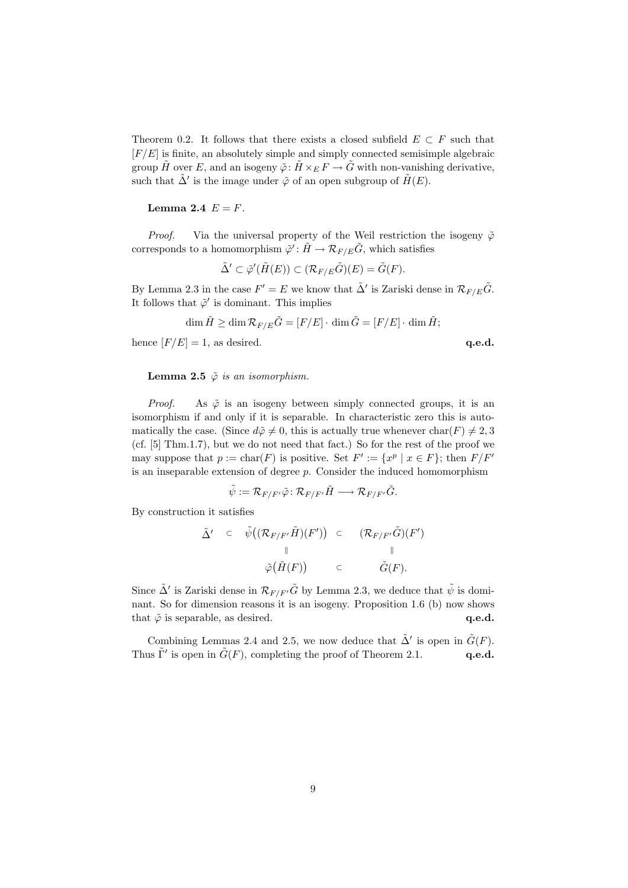Theorem 0.2. It follows that there exists a closed subfield  $E \subset F$  such that  $[F/E]$  is finite, an absolutely simple and simply connected semisimple algebraic group  $\tilde{H}$  over E, and an isogeny  $\tilde{\varphi}$ :  $\tilde{H} \times_E F \to \tilde{G}$  with non-vanishing derivative, such that  $\tilde{\Delta}'$  is the image under  $\tilde{\varphi}$  of an open subgroup of  $\tilde{H}(E)$ .

#### Lemma 2.4  $E = F$ .

*Proof.* Via the universal property of the Weil restriction the isogeny  $\tilde{\varphi}$ corresponds to a homomorphism  $\tilde{\varphi}' : \tilde{H} \to \mathcal{R}_{F/E} \tilde{G}$ , which satisfies

$$
\tilde{\Delta}' \subset \tilde{\varphi}'(\tilde{H}(E)) \subset (\mathcal{R}_{F/E}\tilde{G})(E) = \tilde{G}(F).
$$

By Lemma 2.3 in the case  $F' = E$  we know that  $\tilde{\Delta}'$  is Zariski dense in  $\mathcal{R}_{F/E}\tilde{G}$ . It follows that  $\tilde{\varphi}'$  is dominant. This implies

$$
\dim \tilde{H} \ge \dim \mathcal{R}_{F/E} \tilde{G} = [F/E] \cdot \dim \tilde{G} = [F/E] \cdot \dim \tilde{H};
$$

hence  $[F/E] = 1$ , as desired. q.e.d.

**Lemma 2.5**  $\tilde{\varphi}$  is an isomorphism.

*Proof.* As  $\tilde{\varphi}$  is an isogeny between simply connected groups, it is an isomorphism if and only if it is separable. In characteristic zero this is automatically the case. (Since  $d\tilde{\varphi} \neq 0$ , this is actually true whenever char(F)  $\neq 2, 3$ (cf. [5] Thm.1.7), but we do not need that fact.) So for the rest of the proof we may suppose that  $p := \text{char}(F)$  is positive. Set  $F' := \{x^p | x \in F\}$ ; then  $F/F'$ is an inseparable extension of degree  $p$ . Consider the induced homomorphism

$$
\tilde{\psi}:=\mathcal{R}_{F/F'}\tilde{\varphi}\colon \mathcal{R}_{F/F'}\tilde{H}\longrightarrow \mathcal{R}_{F/F'}\tilde{G}.
$$

By construction it satisfies

$$
\tilde{\Delta}' \quad \subset \quad \tilde{\psi}((\mathcal{R}_{F/F'}\tilde{H})(F')) \quad \subset \qquad (\mathcal{R}_{F/F'}\tilde{G})(F')
$$
\n
$$
\parallel \qquad \qquad \parallel
$$
\n
$$
\tilde{\varphi}(\tilde{H}(F)) \qquad \subset \qquad \qquad \tilde{G}(F).
$$

Since  $\tilde{\Delta}'$  is Zariski dense in  $\mathcal{R}_{F/F'}\tilde{G}$  by Lemma 2.3, we deduce that  $\tilde{\psi}$  is dominant. So for dimension reasons it is an isogeny. Proposition 1.6 (b) now shows that  $\tilde{\varphi}$  is separable, as desired.  $q.e.d.$ 

Combining Lemmas 2.4 and 2.5, we now deduce that  $\tilde{\Delta}'$  is open in  $\tilde{G}(F)$ . Thus  $\tilde{\Gamma}'$  is open in  $\tilde{G}(F)$ , completing the proof of Theorem 2.1. q.e.d.